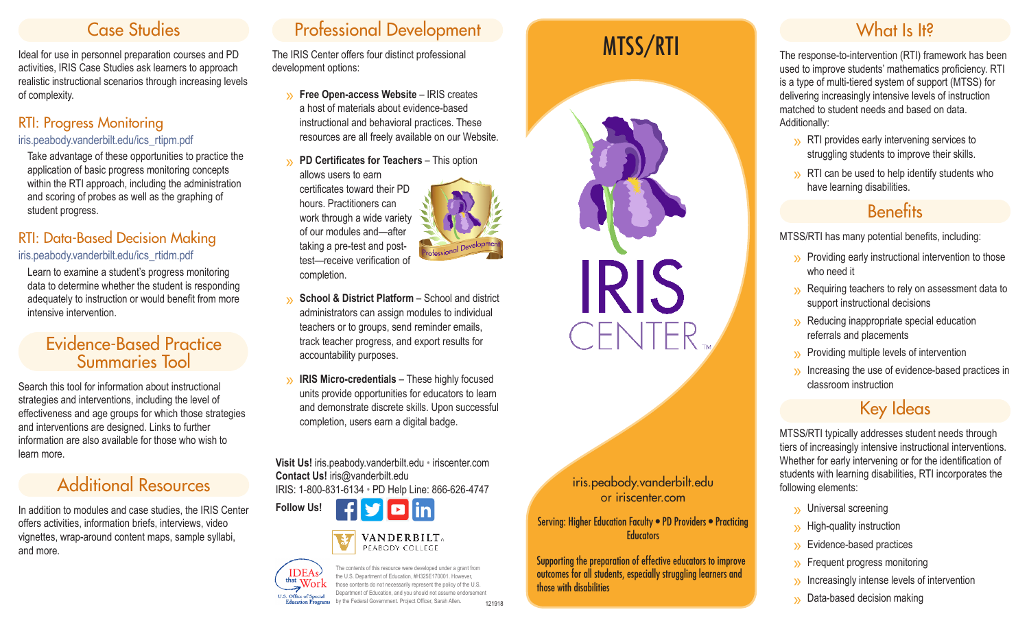# Case Studies

Ideal for use in personnel preparation courses and PD activities, IRIS Case Studies ask learners to approach realistic instructional scenarios through increasing levels of complexity.

#### RTI: Progress Monitoring iris.peabody.vanderbilt.edu/ics\_rtipm.pdf

Take advantage of these opportunities to practice the application of basic progress monitoring concepts within the RTI approach, including the administration and scoring of probes as well as the graphing of student progress.

#### RTI: Data-Based Decision Making iris.peabody.vanderbilt.edu/ics\_rtidm.pdf

Learn to examine a student's progress monitoring data to determine whether the student is responding adequately to instruction or would benefit from more intensive intervention.

### Evidence-Based Practice Summaries Tool

Search this tool for information about instructional strategies and interventions, including the level of effectiveness and age groups for which those strategies and interventions are designed. Links to further information are also available for those who wish to learn more.

# Additional Resources

In addition to modules and case studies, the IRIS Center offers activities, information briefs, interviews, video vignettes, wrap-around content maps, sample syllabi, and more.

# Professional Development

The IRIS Center offers four distinct professional development options:

- » **Free Open-access Website** IRIS creates a host of materials about evidence-based instructional and behavioral practices. These resources are all freely available on our Website.
- » **PD Certificates for Teachers** This option allows users to earn

certificates toward their PD hours. Practitioners can work through a wide variety of our modules and—after taking a pre-test and posttest—receive verification of completion.



- **School & District Platform** School and district administrators can assign modules to individual teachers or to groups, send reminder emails, track teacher progress, and export results for accountability purposes.
- **IRIS Micro-credentials** These highly focused units provide opportunities for educators to learn and demonstrate discrete skills. Upon successful completion, users earn a digital badge.

**Visit Us!** iris.peabody.vanderbilt.edu • iriscenter.com **Contact Us!** iris@vanderbilt.edu IRIS: 1-800-831-6134 • PD Help Line: 866-626-4747







The contents of this resource were developed under a grant from the U.S. Department of Education, #H325E170001. However, those contents do not necessarily represent the policy of the U.S. Department of Education, and you should not assume endorsement by the Federal Government. Project Officer, Sarah Allen *.*



iris.peabody.vanderbilt.edu or iriscenter.com

Serving: Higher Education Faculty • PD Providers • Practicing **Educators** 

Supporting the preparation of effective educators to improve outcomes for all students, especially struggling learners and those with disabilities

The response-to-intervention (RTI) framework has been used to improve students' mathematics proficiency. RTI is a type of multi-tiered system of support (MTSS) for delivering increasingly intensive levels of instruction matched to student needs and based on data. Additionally:

- » RTI provides early intervening services to struggling students to improve their skills.
- » RTI can be used to help identify students who have learning disabilities.

# **Benefits**

MTSS/RTI has many potential benefits, including:

- » Providing early instructional intervention to those who need it
- » Requiring teachers to rely on assessment data to support instructional decisions
- » Reducing inappropriate special education referrals and placements
- 
- $\gg$  Providing multiple levels of intervention  $\gg$  Increasing the use of evidence-based practices in classroom instruction

## Key Ideas

MTSS/RTI typically addresses student needs through tiers of increasingly intensive instructional interventions. Whether for early intervening or for the identification of students with learning disabilities, RTI incorporates the following elements:

- 
- 
- 
- 
- » Universal screening » High-quality instruction » Evidence-based practices » Frequent progress monitoring » Increasingly intense levels of intervention » Data-based decision making
- 

121918